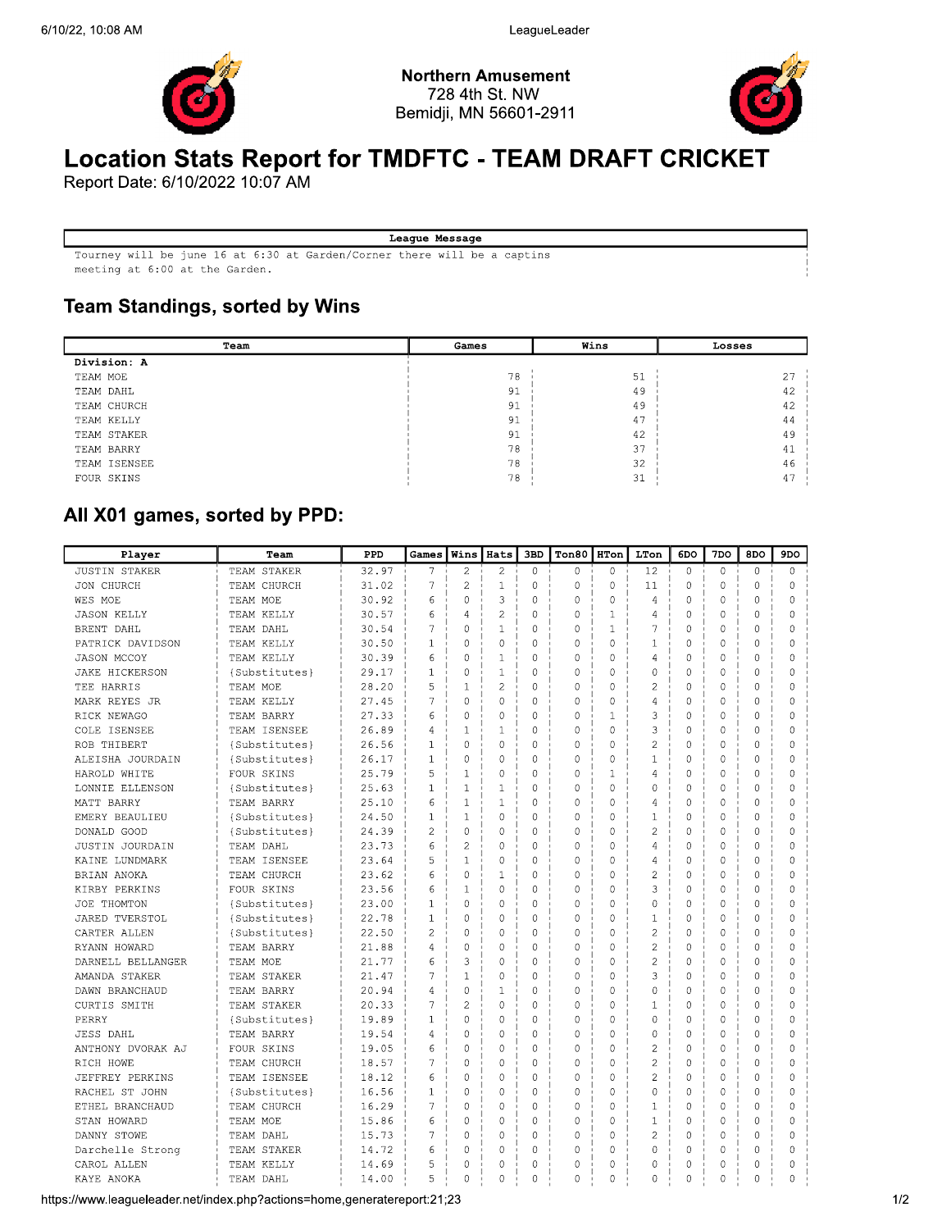

**Northern Amusement** 728 4th St. NW Bemidji, MN 56601-2911



# **Location Stats Report for TMDFTC - TEAM DRAFT CRICKET**

Report Date: 6/10/2022 10:07 AM

#### League Message

Tourney will be june 16 at 6:30 at Garden/Corner there will be a captins meeting at 6:00 at the Garden.

### **Team Standings, sorted by Wins**

| Team         | Games | Wins | Losses |
|--------------|-------|------|--------|
| Division: A  |       |      |        |
| TEAM MOE     | 78    | 51   | 27     |
| TEAM DAHL    | 91    | 49   | 42     |
| TEAM CHURCH  | 91    | 49   | 42     |
| TEAM KELLY   | 91    | 47   | 44     |
| TEAM STAKER  | 91    | 42   | 49     |
| TEAM BARRY   | 78    | 37   | 41     |
| TEAM ISENSEE | 78    | 32   | 46     |
| FOUR SKINS   | 78    | 31   | -47    |

## All X01 games, sorted by PPD:

| Player                 | Team          | PPD   | Games          | Wins           | <b>Hats</b>    | 3BD         | Ton80          | <b>HTon</b>  | LTon           | 6DO          | 7DO            | 8DO          | 9DO            |
|------------------------|---------------|-------|----------------|----------------|----------------|-------------|----------------|--------------|----------------|--------------|----------------|--------------|----------------|
| <b>JUSTIN STAKER</b>   | TEAM STAKER   | 32.97 | 7              | $\mathfrak{D}$ | $\mathfrak{D}$ | $\Omega$    | $\Omega$       | $\Omega$     | 12             | $\Omega$     | $\Omega$       | $\Omega$     | $\Omega$       |
| JON CHURCH             | TEAM CHURCH   | 31.02 | 7              | $\overline{2}$ | $\mathbf{1}$   | $\Omega$    | $\Omega$       | $\Omega$     | 11             | $\Omega$     | $\Omega$       | $\Omega$     | $\Omega$       |
| WES MOE                | TEAM MOE      | 30.92 | 6              | $\theta$       | 3              | $\theta$    | $\Omega$       | $\Omega$     | 4              | $\Omega$     | 0              | $\Omega$     | $\theta$       |
| <b>JASON KELLY</b>     | TEAM KELLY    | 30.57 | 6              | $\overline{A}$ | $\overline{c}$ | $\Omega$    | $\Omega$       | 1            | 4              | $\Omega$     | 0              | $\Omega$     | $\theta$       |
| BRENT DAHL             | TEAM DAHL     | 30.54 | 7              | $\overline{0}$ | $\mathbf{1}$   | $\Omega$    | $\Omega$       | $\mathbf{1}$ | 7              | $\mathbf{0}$ | $\Omega$       | $\theta$     | $\overline{0}$ |
| PATRICK DAVIDSON       | TEAM KELLY    | 30.50 | $\mathbf{1}$   | $\Omega$       | $\Omega$       | $\Omega$    | $\cap$         | 0            | $\mathbf{1}$   | $\Omega$     | 0              | $\Omega$     | $\Omega$       |
| <b>JASON MCCOY</b>     | TEAM KELLY    | 30.39 | 6              | $\Omega$       | $\mathbf{1}$   | $\Omega$    | $\theta$       | $\Omega$     | 4              | $\Omega$     | 0              | $\Omega$     | $\theta$       |
| <b>JAKE HICKERSON</b>  | {Substitutes} | 29.17 | $\mathbf{1}$   | $\theta$       | 1              | $\Omega$    | $\theta$       | $\Omega$     | $\Omega$       | $\Omega$     | $\overline{0}$ | $\Omega$     | $\Omega$       |
| TEE HARRIS             | TEAM MOE      | 28.20 | 5              | $\mathbf{1}$   | $\overline{2}$ | $\Omega$    | $\Omega$       | $\Omega$     | $\overline{2}$ | $\Omega$     | $\overline{0}$ | $\Omega$     | $\Omega$       |
| MARK REYES JR          | TEAM KELLY    | 27.45 | $\overline{7}$ | $\theta$       | $\theta$       | $\theta$    | $\theta$       | 0            | 4              | $\theta$     | 0              | $\Omega$     | $\theta$       |
| RICK NEWAGO            | TEAM BARRY    | 27.33 | 6              | $\overline{0}$ | $\theta$       | $\theta$    | $\Omega$       | $\mathbf 1$  | 3              | $\mathbf{0}$ | $\Omega$       | $\theta$     | $\overline{0}$ |
| COLE ISENSEE           | TEAM ISENSEE  | 26.89 | 4              | $\mathbf{1}$   | $\mathbf{1}$   | $\Omega$    | $\Omega$       | $\Omega$     | 3              | $\Omega$     | $\Omega$       | $\Omega$     | $\Omega$       |
| ROB THIBERT            | {Substitutes} | 26.56 | $\mathbf{1}$   | $\theta$       | $\Omega$       | $\Omega$    | $\theta$       | 0            | $\overline{2}$ | $\Omega$     | 0              | $\Omega$     | 0              |
| ALEISHA JOURDAIN       | {Substitutes} | 26.17 | $\mathbf{1}$   | $\theta$       | $\Omega$       | $\Omega$    | $\theta$       | $\Omega$     | $\mathbf{1}$   | $\Omega$     | 0              | $\Omega$     | $\theta$       |
| HAROLD WHITE           | FOUR SKINS    | 25.79 | 5              | $\mathbf{1}$   | $\Omega$       | $\Omega$    | $\cap$         | 1            | 4              | $\Omega$     | $\overline{0}$ | 0            | $\Omega$       |
| LONNIE ELLENSON        | {Substitutes} | 25.63 | $\mathbf{1}$   | $\mathbf{1}$   | 1              | $\Omega$    | $\theta$       | $\Omega$     | $\theta$       | $\Omega$     | 0              | $\Omega$     | $\theta$       |
| MATT BARRY             | TEAM BARRY    | 25.10 | 6              | $\mathbf{1}$   | $\mathbf{1}$   | $\theta$    | $\Omega$       | $\Omega$     | 4              | $\theta$     | $\overline{0}$ | $\theta$     | $\theta$       |
| EMERY BEAULIEU         | {Substitutes} | 24.50 | $1\,$          | $\mathbf{1}$   | $\Omega$       | $\Omega$    | $\cap$         | $\Omega$     | $\mathbf{1}$   | $\Omega$     | $\Omega$       | $\Omega$     | $\Omega$       |
| DONALD GOOD            | {Substitutes} | 24.39 | $\overline{2}$ | $\overline{0}$ | 0              | $\Omega$    | $\Omega$       | 0            | $\overline{2}$ | $\mathbf{0}$ | 0              | $\Omega$     | 0              |
| JUSTIN JOURDAIN        | TEAM DAHL     | 23.73 | 6              | $\overline{2}$ | $\Omega$       | $\Omega$    | $\theta$       | 0            | 4              | $\Omega$     | 0              | $\Omega$     | $\theta$       |
| KAINE LUNDMARK         | TEAM ISENSEE  | 23.64 | 5              | $\mathbf{1}$   | $\Omega$       | $\cap$      | $\cap$         | $\Omega$     | 4              | $\Omega$     | $\overline{0}$ | $\Omega$     | $\Omega$       |
| BRIAN ANOKA            | TEAM CHURCH   | 23.62 | 6              | $\theta$       | 1              | $\Omega$    | $\theta$       | $\Omega$     | $\overline{c}$ | $\Omega$     | $\Omega$       | $\Omega$     | $\Omega$       |
| KIRBY PERKINS          | FOUR SKINS    | 23.56 | 6              | $\mathbf{1}$   | $\theta$       | $\theta$    | $\theta$       | $\Omega$     | 3              | $\theta$     | $\overline{0}$ | $\Omega$     | $\theta$       |
| JOE THOMTON            | {Substitutes} | 23.00 | $\mathbf{1}$   | $\overline{0}$ | $\Omega$       | $\Omega$    | $\cap$         | 0            | 0              | $\theta$     | 0              | $\Omega$     | 0              |
| <b>JARED TVERSTOL</b>  | {Substitutes} | 22.78 | $1\,$          | $\overline{0}$ | $\mathbf 0$    | $\Omega$    | $\Omega$       | 0            | $\mathbf{1}$   | $\mathbf{0}$ | 0              | $\Omega$     | $\overline{0}$ |
| CARTER ALLEN           | {Substitutes} | 22.50 | $\overline{2}$ | $\overline{0}$ | $\Omega$       | 0           | $\theta$       | 0            | $\overline{2}$ | $\circ$      | 0              | 0            | 0              |
| RYANN HOWARD           | TEAM BARRY    | 21.88 | 4              | $\theta$       | $\Omega$       | $\Omega$    | $\theta$       | $\Omega$     | $\overline{2}$ | $\Omega$     | 0              | $\Omega$     | 0              |
| DARNELL BELLANGER      | TEAM MOE      | 21.77 | 6              | 3              | $\Omega$       | $\Omega$    | $\Omega$       | $\Omega$     | $\overline{2}$ | $\Omega$     | $\Omega$       | $\Omega$     | $\Omega$       |
| AMANDA STAKER          | TEAM STAKER   | 21.47 | $\overline{7}$ | $\mathbf{1}$   | $\theta$       | $\theta$    | $\theta$       | $\theta$     | 3              | $\Omega$     | 0              | 0            | $\theta$       |
| DAWN BRANCHAUD         | TEAM BARRY    | 20.94 | $\overline{4}$ | $\theta$       | $\mathbf{1}$   | $\Omega$    | $\theta$       | $\Omega$     | $\theta$       | $\Omega$     | 0              | $\theta$     | $\theta$       |
| CURTIS SMITH           | TEAM STAKER   | 20.33 | 7              | $\overline{2}$ | $\mathbf 0$    | $\Omega$    | $\Omega$       | 0            | $\mathbf{1}$   | $\circ$      | 0              | $\Omega$     | 0              |
| PERRY                  | {Substitutes} | 19.89 | $\mathbf 1$    | $\overline{0}$ | $\Omega$       | 0           | $\theta$       | $\mathbf 0$  | 0              | $\circ$      | 0              | $\Omega$     | 0              |
| <b>JESS DAHL</b>       | TEAM BARRY    | 19.54 | 4              | $\overline{0}$ | 0              | $\Omega$    | $\theta$       | 0            | 0              | $\circ$      | 0              | 0            | 0              |
| ANTHONY DVORAK AJ      | FOUR SKINS    | 19.05 | 6              | $\overline{0}$ | $\Omega$       | $\Omega$    | $\Omega$       | 0            | $\overline{2}$ | $\Omega$     | 0              | $\Omega$     | $\Omega$       |
| RICH HOWE              | TEAM CHURCH   | 18.57 | $\overline{7}$ | $\overline{0}$ | $\Omega$       | $\Omega$    | $\theta$       | $\Omega$     | $\overline{c}$ | $\Omega$     | $\Omega$       | $\Omega$     | 0              |
| <b>JEFFREY PERKINS</b> | TEAM ISENSEE  | 18.12 | 6              | $\theta$       | $\theta$       | $\Omega$    | $\theta$       | $\Omega$     | $\overline{2}$ | $\Omega$     | 0              | $\Omega$     | $\theta$       |
| RACHEL ST JOHN         | {Substitutes} | 16.56 | $1\,$          | $\overline{0}$ | $\overline{0}$ | $\Omega$    | $\Omega$       | 0            | 0              | $\mathbf{0}$ | 0              | $\mathbf{0}$ | 0              |
| ETHEL BRANCHAUD        | TEAM CHURCH   | 16.29 | 7              | $\mathbf{0}$   | 0              | 0           | 0              | 0            | $\mathbf{1}$   | 0            | 0              | $\mathbf{0}$ | 0              |
| STAN HOWARD            | TEAM MOE      | 15.86 | 6              | $\overline{0}$ | $\circ$        | $\Omega$    | 0              | 0            | $\mathbf{1}$   | 0            | 0              | 0            | $\Omega$       |
| DANNY STOWE            | TEAM DAHL     | 15.73 | 7              | $\overline{0}$ | $\Omega$       | $\Omega$    | $\theta$       | $\Omega$     | $\overline{2}$ | $\Omega$     | 0              | $\Omega$     | $\Omega$       |
| Darchelle Strong       | TEAM STAKER   | 14.72 | 6              | $\overline{0}$ | $\Omega$       | $\mathbf 0$ | $\Omega$       | 0            | 0              | $\Omega$     | $\Omega$       | $\Omega$     | 0              |
| CAROL ALLEN            | TEAM KELLY    | 14.69 | 5              | $\overline{0}$ | $\Omega$       | $\Omega$    | $\theta$       | $\circ$      | 0              | $\theta$     | 0              | $\Omega$     | $\theta$       |
| KAYE ANOKA             | TEAM DAHL     | 14.00 | 5              | $\overline{0}$ | $\circ$        | 0           | $\overline{0}$ | $\theta$     | $\overline{0}$ | 0            | 0              | 0            | $\theta$       |